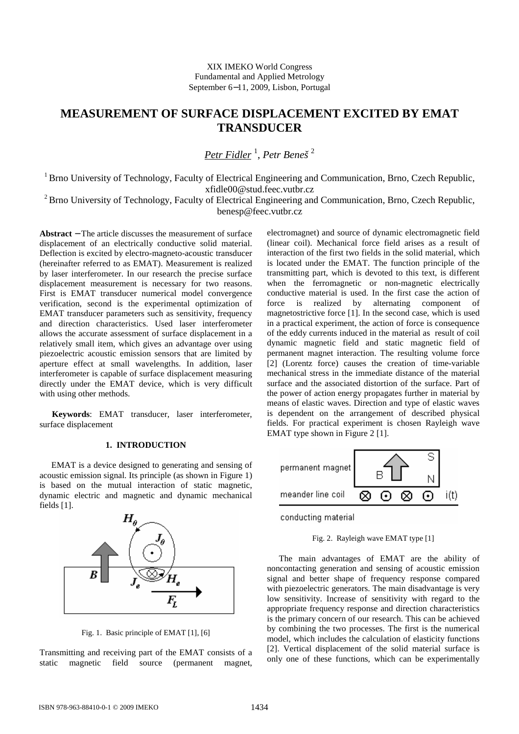XIX IMEKO World Congress Fundamental and Applied Metrology September 6−11, 2009, Lisbon, Portugal

# **MEASUREMENT OF SURFACE DISPLACEMENT EXCITED BY EMAT TRANSDUCER**

*Petr Fidler* <sup>1</sup> , *Petr Beneš* <sup>2</sup>

<sup>1</sup> Brno University of Technology, Faculty of Electrical Engineering and Communication, Brno, Czech Republic, xfidle00@stud.feec.vutbr.cz

 $2^2$ Brno University of Technology, Faculty of Electrical Engineering and Communication, Brno, Czech Republic, benesp@feec.vutbr.cz

**Abstract** − The article discusses the measurement of surface displacement of an electrically conductive solid material. Deflection is excited by electro-magneto-acoustic transducer (hereinafter referred to as EMAT). Measurement is realized by laser interferometer. In our research the precise surface displacement measurement is necessary for two reasons. First is EMAT transducer numerical model convergence verification, second is the experimental optimization of EMAT transducer parameters such as sensitivity, frequency and direction characteristics. Used laser interferometer allows the accurate assessment of surface displacement in a relatively small item, which gives an advantage over using piezoelectric acoustic emission sensors that are limited by aperture effect at small wavelengths. In addition, laser interferometer is capable of surface displacement measuring directly under the EMAT device, which is very difficult with using other methods.

**Keywords**: EMAT transducer, laser interferometer, surface displacement

# **1. INTRODUCTION**

EMAT is a device designed to generating and sensing of acoustic emission signal. Its principle (as shown in Figure 1) is based on the mutual interaction of static magnetic, dynamic electric and magnetic and dynamic mechanical fields [1].



Fig. 1. Basic principle of EMAT [1], [6]

Transmitting and receiving part of the EMAT consists of a static magnetic field source (permanent magnet, electromagnet) and source of dynamic electromagnetic field (linear coil). Mechanical force field arises as a result of interaction of the first two fields in the solid material, which is located under the EMAT. The function principle of the transmitting part, which is devoted to this text, is different when the ferromagnetic or non-magnetic electrically conductive material is used. In the first case the action of force is realized by alternating component of magnetostrictive force [1]. In the second case, which is used in a practical experiment, the action of force is consequence of the eddy currents induced in the material as result of coil dynamic magnetic field and static magnetic field of permanent magnet interaction. The resulting volume force [2] (Lorentz force) causes the creation of time-variable mechanical stress in the immediate distance of the material surface and the associated distortion of the surface. Part of the power of action energy propagates further in material by means of elastic waves. Direction and type of elastic waves is dependent on the arrangement of described physical fields. For practical experiment is chosen Rayleigh wave EMAT type shown in Figure 2 [1].



conducting material

Fig. 2. Rayleigh wave EMAT type [1]

The main advantages of EMAT are the ability of noncontacting generation and sensing of acoustic emission signal and better shape of frequency response compared with piezoelectric generators. The main disadvantage is very low sensitivity. Increase of sensitivity with regard to the appropriate frequency response and direction characteristics is the primary concern of our research. This can be achieved by combining the two processes. The first is the numerical model, which includes the calculation of elasticity functions [2]. Vertical displacement of the solid material surface is only one of these functions, which can be experimentally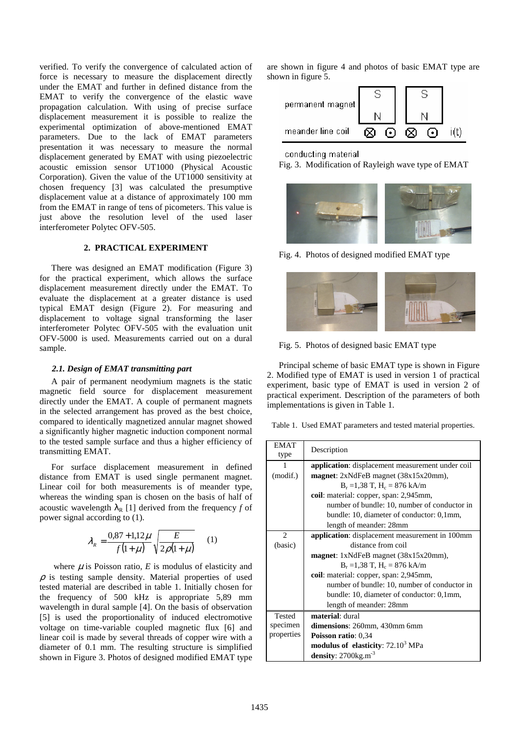verified. To verify the convergence of calculated action of force is necessary to measure the displacement directly under the EMAT and further in defined distance from the EMAT to verify the convergence of the elastic wave propagation calculation. With using of precise surface displacement measurement it is possible to realize the experimental optimization of above-mentioned EMAT parameters. Due to the lack of EMAT parameters presentation it was necessary to measure the normal displacement generated by EMAT with using piezoelectric acoustic emission sensor UT1000 (Physical Acoustic Corporation). Given the value of the UT1000 sensitivity at chosen frequency [3] was calculated the presumptive displacement value at a distance of approximately 100 mm from the EMAT in range of tens of picometers. This value is just above the resolution level of the used laser interferometer Polytec OFV-505.

## **2. PRACTICAL EXPERIMENT**

There was designed an EMAT modification (Figure 3) for the practical experiment, which allows the surface displacement measurement directly under the EMAT. To evaluate the displacement at a greater distance is used typical EMAT design (Figure 2). For measuring and displacement to voltage signal transforming the laser interferometer Polytec OFV-505 with the evaluation unit OFV-5000 is used. Measurements carried out on a dural sample.

## *2.1. Design of EMAT transmitting part*

A pair of permanent neodymium magnets is the static magnetic field source for displacement measurement directly under the EMAT. A couple of permanent magnets in the selected arrangement has proved as the best choice, compared to identically magnetized annular magnet showed a significantly higher magnetic induction component normal to the tested sample surface and thus a higher efficiency of transmitting EMAT.

For surface displacement measurement in defined distance from EMAT is used single permanent magnet. Linear coil for both measurements is of meander type, whereas the winding span is chosen on the basis of half of acoustic wavelength  $\lambda_R$  [1] derived from the frequency *f* of power signal according to (1).

$$
\lambda_R = \frac{0.87 + 1.12\mu}{f(1+\mu)} \sqrt{\frac{E}{2\rho(1+\mu)}} \qquad (1)
$$

where  $\mu$  is Poisson ratio,  $E$  is modulus of elasticity and  $\rho$  is testing sample density. Material properties of used tested material are described in table 1. Initially chosen for the frequency of 500 kHz is appropriate 5,89 mm wavelength in dural sample [4]. On the basis of observation [5] is used the proportionality of induced electromotive voltage on time-variable coupled magnetic flux [6] and linear coil is made by several threads of copper wire with a diameter of 0.1 mm. The resulting structure is simplified shown in Figure 3. Photos of designed modified EMAT type are shown in figure 4 and photos of basic EMAT type are shown in figure 5.

| permanent magnet  |  |           |   |                        |  |
|-------------------|--|-----------|---|------------------------|--|
|                   |  |           |   |                        |  |
| meander line coil |  | $(\cdot)$ | ∞ | $\left( \cdot \right)$ |  |

### conducting material

Fig. 3. Modification of Rayleigh wave type of EMAT



Fig. 4. Photos of designed modified EMAT type



Fig. 5. Photos of designed basic EMAT type

Principal scheme of basic EMAT type is shown in Figure 2. Modified type of EMAT is used in version 1 of practical experiment, basic type of EMAT is used in version 2 of practical experiment. Description of the parameters of both implementations is given in Table 1.

Table 1. Used EMAT parameters and tested material properties.

| <b>EMAT</b><br>type | Description                                       |  |  |
|---------------------|---------------------------------------------------|--|--|
|                     | application: displacement measurement under coil  |  |  |
| (modif.)            | <b>magnet</b> : $2xNdFeB$ magnet $(38x15x20mm)$ , |  |  |
|                     | $B_r = 1.38$ T, $H_c = 876$ kA/m                  |  |  |
|                     | coil: material: copper, span: 2,945mm,            |  |  |
|                     | number of bundle: 10, number of conductor in      |  |  |
|                     | bundle: 10, diameter of conductor: 0,1mm,         |  |  |
|                     | length of meander: 28mm                           |  |  |
| $\overline{c}$      | application: displacement measurement in 100mm    |  |  |
| (basic)             | distance from coil                                |  |  |
|                     | <b>magnet</b> : $1xNdFeB$ magnet $(38x15x20mm)$ , |  |  |
|                     | $B_r = 1,38$ T, $H_c = 876$ kA/m                  |  |  |
|                     | coil: material: copper, span: 2,945mm,            |  |  |
|                     | number of bundle: 10, number of conductor in      |  |  |
|                     | bundle: 10, diameter of conductor: 0,1mm,         |  |  |
|                     | length of meander: 28mm                           |  |  |
| <b>Tested</b>       | material: dural                                   |  |  |
| specimen            | dimensions: $260$ mm, $430$ mm $6$ mm             |  |  |
| properties          | <b>Poisson ratio: 0,34</b>                        |  |  |
|                     | modulus of elasticity: 72.10 <sup>3</sup> MPa     |  |  |
|                     | density: $2700$ kg.m <sup>-3</sup>                |  |  |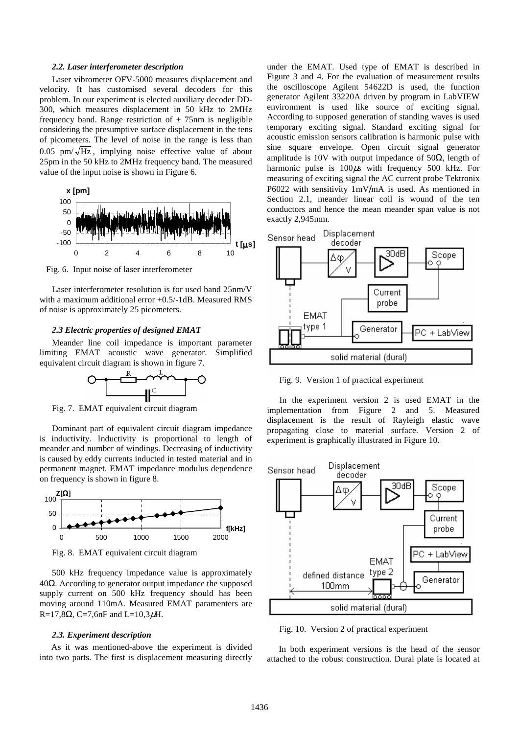#### *2.2. Laser interferometer description*

Laser vibrometer OFV-5000 measures displacement and velocity. It has customised several decoders for this problem. In our experiment is elected auxiliary decoder DD-300, which measures displacement in 50 kHz to 2MHz frequency band. Range restriction of  $\pm$  75nm is negligible considering the presumptive surface displacement in the tens of picometers. The level of noise in the range is less than 0.05 pm/ $\sqrt{Hz}$ , implying noise effective value of about 25pm in the 50 kHz to 2MHz frequency band. The measured value of the input noise is shown in Figure 6.



Fig. 6. Input noise of laser interferometer

Laser interferometer resolution is for used band 25nm/V with a maximum additional error +0.5/-1dB. Measured RMS of noise is approximately 25 picometers.

## *2.3 Electric properties of designed EMAT*

 Meander line coil impedance is important parameter limiting EMAT acoustic wave generator. Simplified equivalent circuit diagram is shown in figure 7.



Fig. 7. EMAT equivalent circuit diagram

Dominant part of equivalent circuit diagram impedance is inductivity. Inductivity is proportional to length of meander and number of windings. Decreasing of inductivity is caused by eddy currents inducted in tested material and in permanent magnet. EMAT impedance modulus dependence on frequency is shown in figure 8.



Fig. 8. EMAT equivalent circuit diagram

500 kHz frequency impedance value is approximately 40Ω. According to generator output impedance the supposed supply current on 500 kHz frequency should has been moving around 110mA. Measured EMAT paramenters are R=17,8Ω, C=7,6nF and L=10,3μH.

#### *2.3. Experiment description*

As it was mentioned-above the experiment is divided into two parts. The first is displacement measuring directly under the EMAT. Used type of EMAT is described in Figure 3 and 4. For the evaluation of measurement results the oscilloscope Agilent 54622D is used, the function generator Agilent 33220A driven by program in LabVIEW environment is used like source of exciting signal. According to supposed generation of standing waves is used temporary exciting signal. Standard exciting signal for acoustic emission sensors calibration is harmonic pulse with sine square envelope. Open circuit signal generator amplitude is 10V with output impedance of 50 $\Omega$ , length of harmonic pulse is  $100\mu s$  with frequency 500 kHz. For measuring of exciting signal the AC current probe Tektronix P6022 with sensitivity 1mV/mA is used. As mentioned in Section 2.1, meander linear coil is wound of the ten conductors and hence the mean meander span value is not exactly 2,945mm.



Fig. 9. Version 1 of practical experiment

In the experiment version 2 is used EMAT in the implementation from Figure 2 and 5. Measured displacement is the result of Rayleigh elastic wave propagating close to material surface. Version 2 of experiment is graphically illustrated in Figure 10.



Fig. 10. Version 2 of practical experiment

In both experiment versions is the head of the sensor attached to the robust construction. Dural plate is located at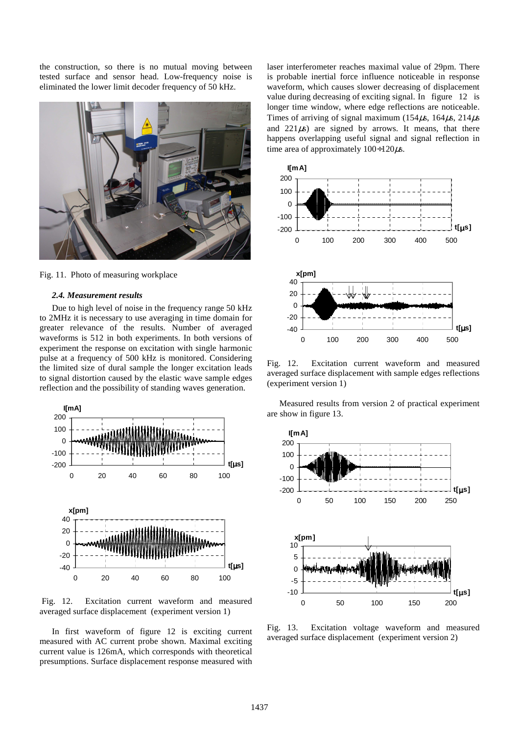the construction, so there is no mutual moving between tested surface and sensor head. Low-frequency noise is eliminated the lower limit decoder frequency of 50 kHz.



Fig. 11. Photo of measuring workplace

#### *2.4. Measurement results*

Due to high level of noise in the frequency range 50 kHz to 2MHz it is necessary to use averaging in time domain for greater relevance of the results. Number of averaged waveforms is 512 in both experiments. In both versions of experiment the response on excitation with single harmonic pulse at a frequency of 500 kHz is monitored. Considering the limited size of dural sample the longer excitation leads to signal distortion caused by the elastic wave sample edges reflection and the possibility of standing waves generation.



 Fig. 12. Excitation current waveform and measured averaged surface displacement (experiment version 1)

 In first waveform of figure 12 is exciting current measured with AC current probe shown. Maximal exciting current value is 126mA, which corresponds with theoretical presumptions. Surface displacement response measured with laser interferometer reaches maximal value of 29pm. There is probable inertial force influence noticeable in response waveform, which causes slower decreasing of displacement value during decreasing of exciting signal. In figure 12 is longer time window, where edge reflections are noticeable. Times of arriving of signal maximum (154 $\mu$ s, 164 $\mu$ s, 214 $\mu$ s and  $221\mu s$ ) are signed by arrows. It means, that there happens overlapping useful signal and signal reflection in time area of approximately  $100 \div 120 \mu s$ .



Fig. 12. Excitation current waveform and measured averaged surface displacement with sample edges reflections (experiment version 1)

 Measured results from version 2 of practical experiment are show in figure 13.



Fig. 13. Excitation voltage waveform and measured averaged surface displacement (experiment version 2)